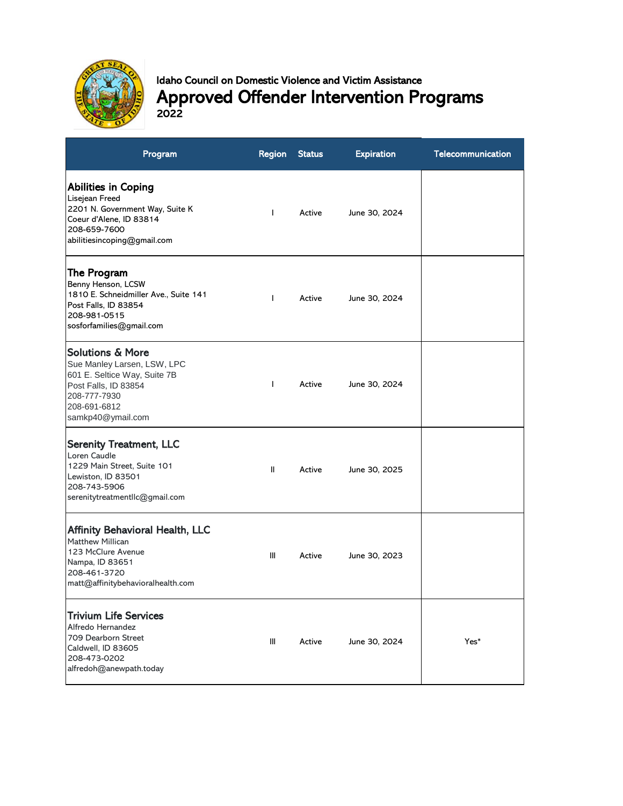

## Idaho Council on Domestic Violence and Victim Assistance Approved Offender Intervention Programs 2022

| Program                                                                                                                                                                 | <b>Region</b>  | <b>Status</b> | <b>Expiration</b> | Telecommunication |
|-------------------------------------------------------------------------------------------------------------------------------------------------------------------------|----------------|---------------|-------------------|-------------------|
| Abilities in Coping<br>Lisejean Freed<br>2201 N. Government Way, Suite K<br>Coeur d'Alene, ID 83814<br>208-659-7600<br>abilitiesincoping@gmail.com                      |                | Active        | June 30, 2024     |                   |
| The Program <br>Benny Henson, LCSW<br>1810 E. Schneidmiller Ave., Suite 141<br>Post Falls, ID 83854<br>208-981-0515<br>sosforfamilies@gmail.com                         | $\mathbf{I}$   | Active        | June 30, 2024     |                   |
| <b>Solutions &amp; More</b><br>Sue Manley Larsen, LSW, LPC<br>601 E. Seltice Way, Suite 7B<br>Post Falls, ID 83854<br>208-777-7930<br>208-691-6812<br>samkp40@ymail.com | T              | Active        | June 30, 2024     |                   |
| <b>Serenity Treatment, LLC</b><br>Loren Caudle<br>1229 Main Street, Suite 101<br>Lewiston, ID 83501<br>208-743-5906<br>serenitytreatmentllc@gmail.com                   | Ш              | Active        | June 30, 2025     |                   |
| <b>Affinity Behavioral Health, LLC</b><br><b>Matthew Millican</b><br>123 McClure Avenue<br>Nampa, ID 83651<br>208-461-3720<br>matt@affinitybehavioralhealth.com         | III            | Active        | June 30, 2023     |                   |
| <b>Trivium Life Services</b><br>Alfredo Hernandez<br>709 Dearborn Street<br>Caldwell, ID 83605<br>208-473-0202<br>alfredoh@anewpath.today                               | $\mathbf{III}$ | Active        | June 30, 2024     | Yes*              |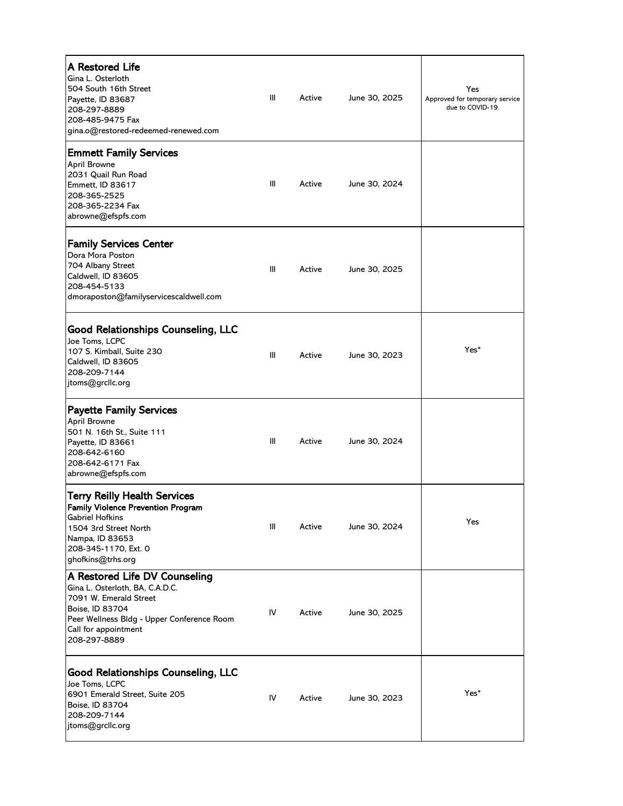| <b>A Restored Life</b><br>Gina L. Osterloth<br>504 South 16th Street<br>Payette, ID 83687<br>208-297-8889<br>208-485-9475 Fax<br>gina.o@restored-redeemed-renewed.com                               | Ш              | Active | June 30, 2025 | Yes<br>Approved for temporary service<br>due to COVID-19. |
|-----------------------------------------------------------------------------------------------------------------------------------------------------------------------------------------------------|----------------|--------|---------------|-----------------------------------------------------------|
| <b>Emmett Family Services</b><br><b>April Browne</b><br>2031 Quail Run Road<br>Emmett, ID 83617<br>208-365-2525<br>208-365-2234 Fax<br>abrowne@efspfs.com                                           | Ш              | Active | June 30, 2024 |                                                           |
| Family Services Center<br>Dora Mora Poston<br>704 Albany Street<br>Caldwell, ID 83605<br>208-454-5133<br>dmoraposton@familyservicescaldwell.com                                                     | $\mathbf{III}$ | Active | June 30, 2025 |                                                           |
| <b>Good Relationships Counseling, LLC</b><br>Joe Toms, LCPC<br>107 S. Kimball, Suite 230<br>Caldwell, ID 83605<br>208-209-7144<br>jtoms@grcllc.org                                                  | Ш              | Active | June 30, 2023 | Yes*                                                      |
| <b>Payette Family Services</b><br>April Browne<br>501 N. 16th St., Suite 111<br>Payette, ID 83661<br>208-642-6160<br>208-642-6171 Fax<br>abrowne@efspfs.com                                         | $\mathbf{III}$ | Active | June 30, 2024 |                                                           |
| <b>Terry Reilly Health Services</b><br><b>Family Violence Prevention Program</b><br><b>Gabriel Hofkins</b><br>1504 3rd Street North<br>Nampa, ID 83653<br>208-345-1170, Ext. 0<br>ghofkins@trhs.org | $\mathbf{III}$ | Active | June 30, 2024 | Yes                                                       |
| A Restored Life DV Counseling<br>Gina L. Osterloth, BA, C.A.D.C.<br>7091 W. Emerald Street<br>Boise, ID 83704<br>Peer Wellness Bldg - Upper Conference Room<br>Call for appointment<br>208-297-8889 | IV             | Active | June 30, 2025 |                                                           |
| <b>Good Relationships Counseling, LLC</b><br>Joe Toms, LCPC<br>6901 Emerald Street, Suite 205<br>Boise, ID 83704<br>208-209-7144<br>jtoms@grcllc.org                                                | IV             | Active | June 30, 2023 | Yes*                                                      |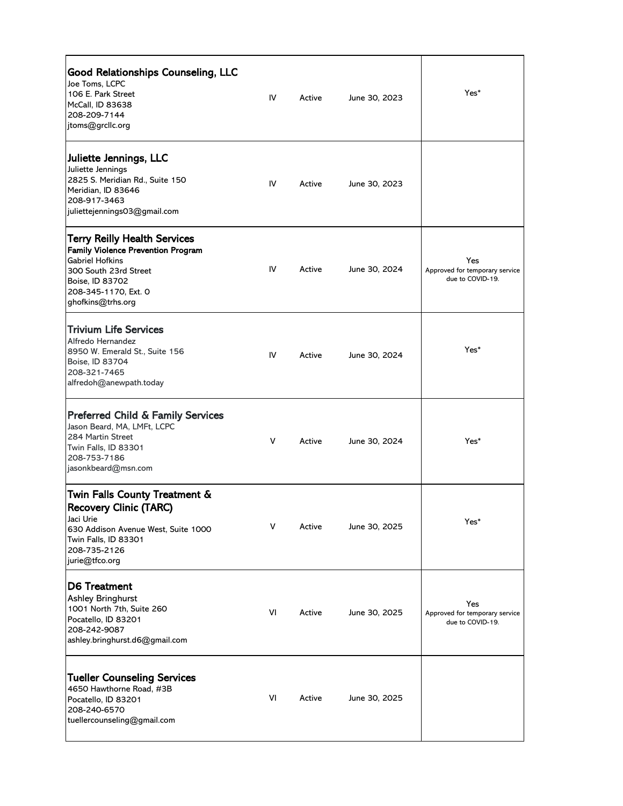| <b>Good Relationships Counseling, LLC</b><br>Joe Toms, LCPC<br>106 E. Park Street<br>McCall, ID 83638<br>208-209-7144<br>jtoms@grcllc.org                                                    | IV  | Active | June 30, 2023 | Yes*                                                      |
|----------------------------------------------------------------------------------------------------------------------------------------------------------------------------------------------|-----|--------|---------------|-----------------------------------------------------------|
| Juliette Jennings, LLC<br>Juliette Jennings<br>2825 S. Meridian Rd., Suite 150<br>Meridian, ID 83646<br>208-917-3463<br>juliettejennings03@gmail.com                                         | IV. | Active | June 30, 2023 |                                                           |
| Terry Reilly Health Services<br><b>Family Violence Prevention Program</b><br><b>Gabriel Hofkins</b><br>300 South 23rd Street<br>Boise, ID 83702<br>208-345-1170, Ext. 0<br>ghofkins@trhs.org | IV. | Active | June 30, 2024 | Yes<br>Approved for temporary service<br>due to COVID-19. |
| <b>Trivium Life Services</b><br>Alfredo Hernandez<br>8950 W. Emerald St., Suite 156<br>Boise, ID 83704<br>208-321-7465<br>alfredoh@anewpath.today                                            | IV  | Active | June 30, 2024 | Yes*                                                      |
| <b>Preferred Child &amp; Family Services</b><br>Jason Beard, MA, LMFt, LCPC<br>284 Martin Street<br>Twin Falls, ID 83301<br>208-753-7186<br>jasonkbeard@msn.com                              | V   | Active | June 30, 2024 | Yes*                                                      |
| Twin Falls County Treatment &<br><b>Recovery Clinic (TARC)</b><br>Jaci Urie<br>630 Addison Avenue West, Suite 1000<br>Twin Falls, ID 83301<br>208-735-2126<br>jurie@tfco.org                 | V   | Active | June 30, 2025 | Yes*                                                      |
| <b>ID6 Treatment</b><br><b>Ashley Bringhurst</b><br>1001 North 7th, Suite 260<br>Pocatello, ID 83201<br>208-242-9087<br>ashley.bringhurst.d6@gmail.com                                       | VI  | Active | June 30, 2025 | Yes<br>Approved for temporary service<br>due to COVID-19. |
| <b>Tueller Counseling Services</b><br>4650 Hawthorne Road, #3B<br>Pocatello, ID 83201<br>208-240-6570<br>tuellercounseling@gmail.com                                                         | VI  | Active | June 30, 2025 |                                                           |